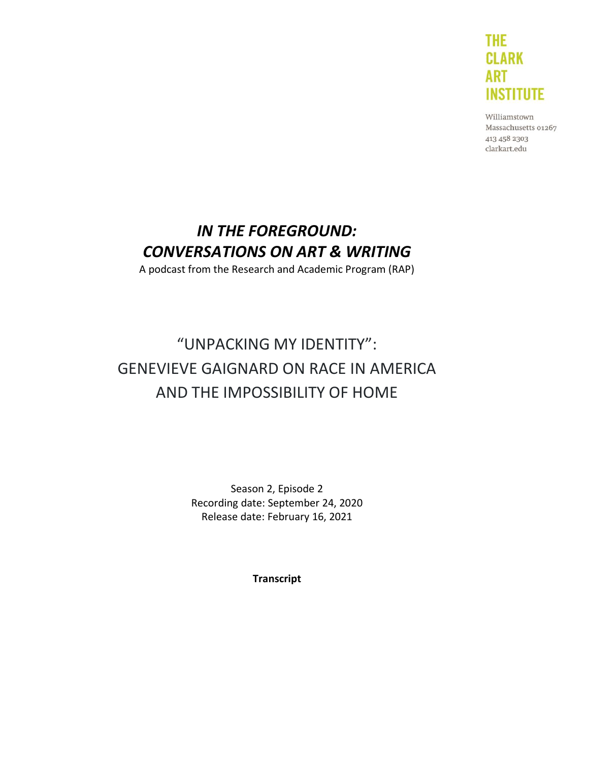

Williamstown Massachusetts 01267 413 458 2303 clarkart.edu

# *IN THE FOREGROUND: CONVERSATIONS ON ART & WRITING*

A podcast from the Research and Academic Program (RAP)

# "UNPACKING MY IDENTITY": GENEVIEVE GAIGNARD ON RACE IN AMERICA AND THE IMPOSSIBILITY OF HOME

Season 2, Episode 2 Recording date: September 24, 2020 Release date: February 16, 2021

**Transcript**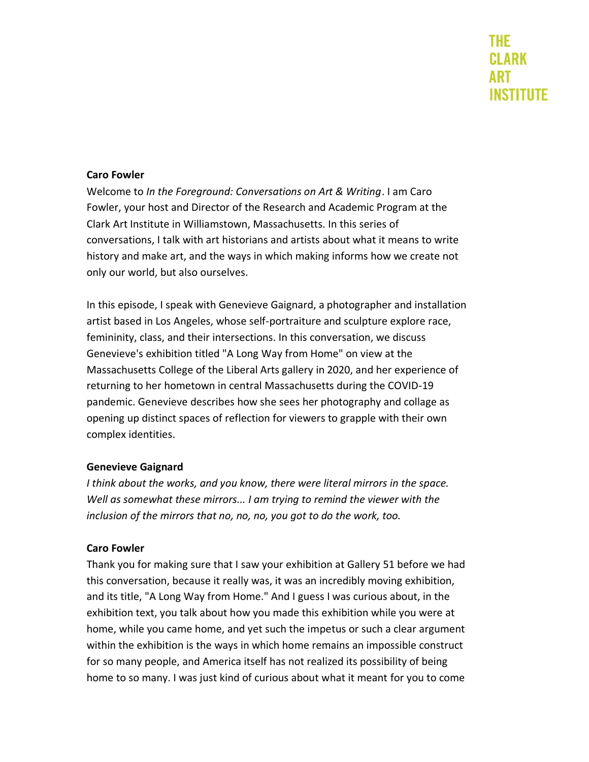#### **Caro Fowler**

Welcome to *In the Foreground: Conversations on Art & Writing*. I am Caro Fowler, your host and Director of the Research and Academic Program at the Clark Art Institute in Williamstown, Massachusetts. In this series of conversations, I talk with art historians and artists about what it means to write history and make art, and the ways in which making informs how we create not only our world, but also ourselves.

In this episode, I speak with Genevieve Gaignard, a photographer and installation artist based in Los Angeles, whose self-portraiture and sculpture explore race, femininity, class, and their intersections. In this conversation, we discuss Genevieve's exhibition titled "A Long Way from Home" on view at the Massachusetts College of the Liberal Arts gallery in 2020, and her experience of returning to her hometown in central Massachusetts during the COVID-19 pandemic. Genevieve describes how she sees her photography and collage as opening up distinct spaces of reflection for viewers to grapple with their own complex identities.

#### **Genevieve Gaignard**

*I think about the works, and you know, there were literal mirrors in the space. Well as somewhat these mirrors... I am trying to remind the viewer with the inclusion of the mirrors that no, no, no, you got to do the work, too.*

#### **Caro Fowler**

Thank you for making sure that I saw your exhibition at Gallery 51 before we had this conversation, because it really was, it was an incredibly moving exhibition, and its title, "A Long Way from Home." And I guess I was curious about, in the exhibition text, you talk about how you made this exhibition while you were at home, while you came home, and yet such the impetus or such a clear argument within the exhibition is the ways in which home remains an impossible construct for so many people, and America itself has not realized its possibility of being home to so many. I was just kind of curious about what it meant for you to come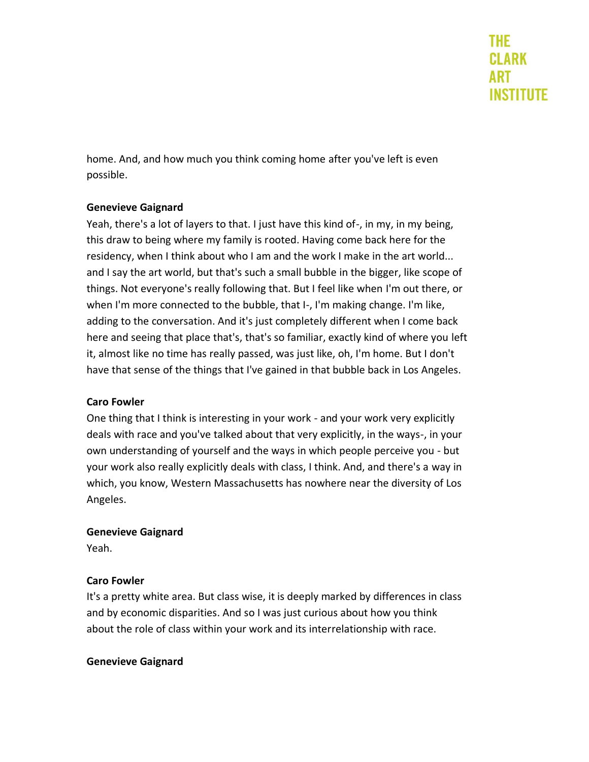home. And, and how much you think coming home after you've left is even possible.

#### **Genevieve Gaignard**

Yeah, there's a lot of layers to that. I just have this kind of-, in my, in my being, this draw to being where my family is rooted. Having come back here for the residency, when I think about who I am and the work I make in the art world... and I say the art world, but that's such a small bubble in the bigger, like scope of things. Not everyone's really following that. But I feel like when I'm out there, or when I'm more connected to the bubble, that I-, I'm making change. I'm like, adding to the conversation. And it's just completely different when I come back here and seeing that place that's, that's so familiar, exactly kind of where you left it, almost like no time has really passed, was just like, oh, I'm home. But I don't have that sense of the things that I've gained in that bubble back in Los Angeles.

#### **Caro Fowler**

One thing that I think is interesting in your work - and your work very explicitly deals with race and you've talked about that very explicitly, in the ways-, in your own understanding of yourself and the ways in which people perceive you - but your work also really explicitly deals with class, I think. And, and there's a way in which, you know, Western Massachusetts has nowhere near the diversity of Los Angeles.

#### **Genevieve Gaignard**

Yeah.

# **Caro Fowler**

It's a pretty white area. But class wise, it is deeply marked by differences in class and by economic disparities. And so I was just curious about how you think about the role of class within your work and its interrelationship with race.

# **Genevieve Gaignard**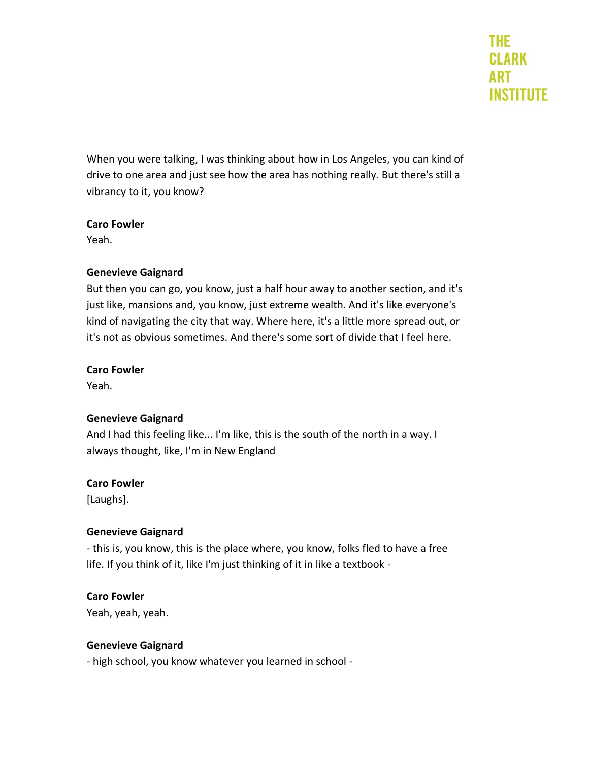When you were talking, I was thinking about how in Los Angeles, you can kind of drive to one area and just see how the area has nothing really. But there's still a vibrancy to it, you know?

#### **Caro Fowler**

Yeah.

#### **Genevieve Gaignard**

But then you can go, you know, just a half hour away to another section, and it's just like, mansions and, you know, just extreme wealth. And it's like everyone's kind of navigating the city that way. Where here, it's a little more spread out, or it's not as obvious sometimes. And there's some sort of divide that I feel here.

#### **Caro Fowler**

Yeah.

# **Genevieve Gaignard**

And I had this feeling like... I'm like, this is the south of the north in a way. I always thought, like, I'm in New England

# **Caro Fowler**

[Laughs].

# **Genevieve Gaignard**

- this is, you know, this is the place where, you know, folks fled to have a free life. If you think of it, like I'm just thinking of it in like a textbook -

# **Caro Fowler**

Yeah, yeah, yeah.

# **Genevieve Gaignard**

- high school, you know whatever you learned in school -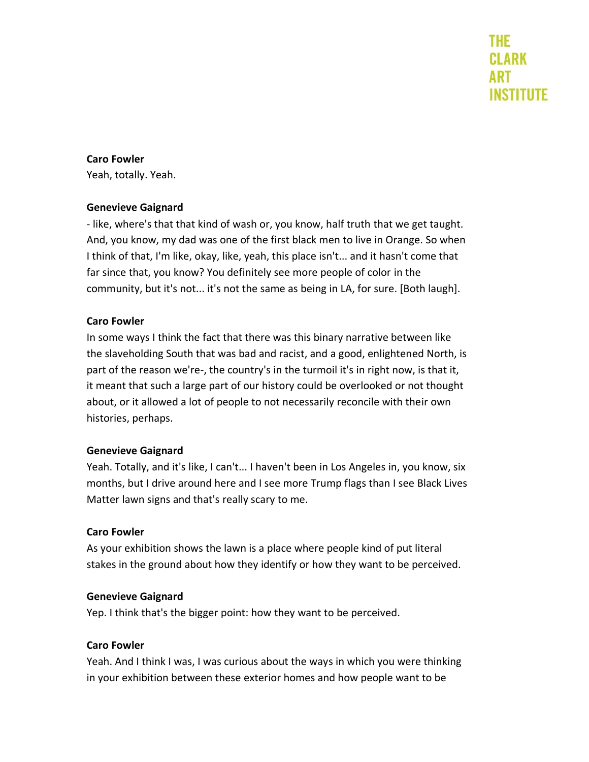#### **Caro Fowler**

Yeah, totally. Yeah.

#### **Genevieve Gaignard**

- like, where's that that kind of wash or, you know, half truth that we get taught. And, you know, my dad was one of the first black men to live in Orange. So when I think of that, I'm like, okay, like, yeah, this place isn't... and it hasn't come that far since that, you know? You definitely see more people of color in the community, but it's not... it's not the same as being in LA, for sure. [Both laugh].

#### **Caro Fowler**

In some ways I think the fact that there was this binary narrative between like the slaveholding South that was bad and racist, and a good, enlightened North, is part of the reason we're-, the country's in the turmoil it's in right now, is that it, it meant that such a large part of our history could be overlooked or not thought about, or it allowed a lot of people to not necessarily reconcile with their own histories, perhaps.

#### **Genevieve Gaignard**

Yeah. Totally, and it's like, I can't... I haven't been in Los Angeles in, you know, six months, but I drive around here and I see more Trump flags than I see Black Lives Matter lawn signs and that's really scary to me.

#### **Caro Fowler**

As your exhibition shows the lawn is a place where people kind of put literal stakes in the ground about how they identify or how they want to be perceived.

#### **Genevieve Gaignard**

Yep. I think that's the bigger point: how they want to be perceived.

#### **Caro Fowler**

Yeah. And I think I was, I was curious about the ways in which you were thinking in your exhibition between these exterior homes and how people want to be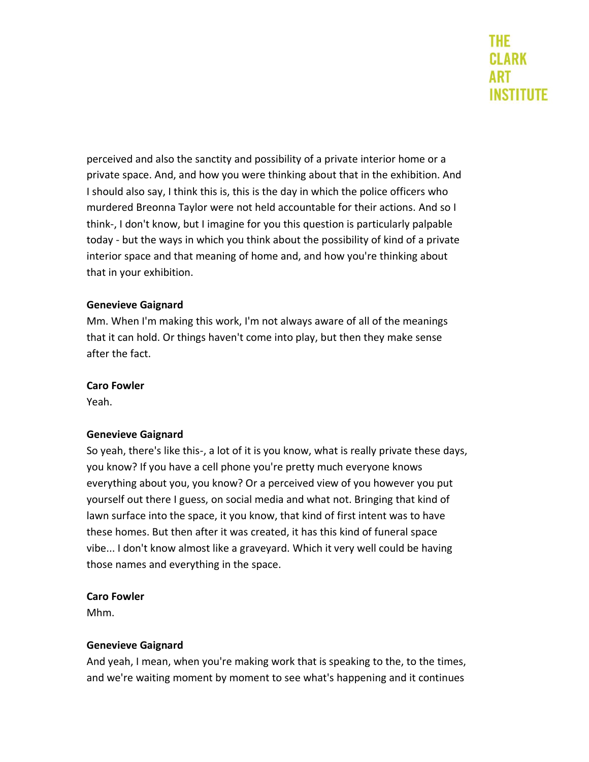perceived and also the sanctity and possibility of a private interior home or a private space. And, and how you were thinking about that in the exhibition. And I should also say, I think this is, this is the day in which the police officers who murdered Breonna Taylor were not held accountable for their actions. And so I think-, I don't know, but I imagine for you this question is particularly palpable today - but the ways in which you think about the possibility of kind of a private interior space and that meaning of home and, and how you're thinking about that in your exhibition.

#### **Genevieve Gaignard**

Mm. When I'm making this work, I'm not always aware of all of the meanings that it can hold. Or things haven't come into play, but then they make sense after the fact.

#### **Caro Fowler**

Yeah.

# **Genevieve Gaignard**

So yeah, there's like this-, a lot of it is you know, what is really private these days, you know? If you have a cell phone you're pretty much everyone knows everything about you, you know? Or a perceived view of you however you put yourself out there I guess, on social media and what not. Bringing that kind of lawn surface into the space, it you know, that kind of first intent was to have these homes. But then after it was created, it has this kind of funeral space vibe... I don't know almost like a graveyard. Which it very well could be having those names and everything in the space.

#### **Caro Fowler**

Mhm.

# **Genevieve Gaignard**

And yeah, I mean, when you're making work that is speaking to the, to the times, and we're waiting moment by moment to see what's happening and it continues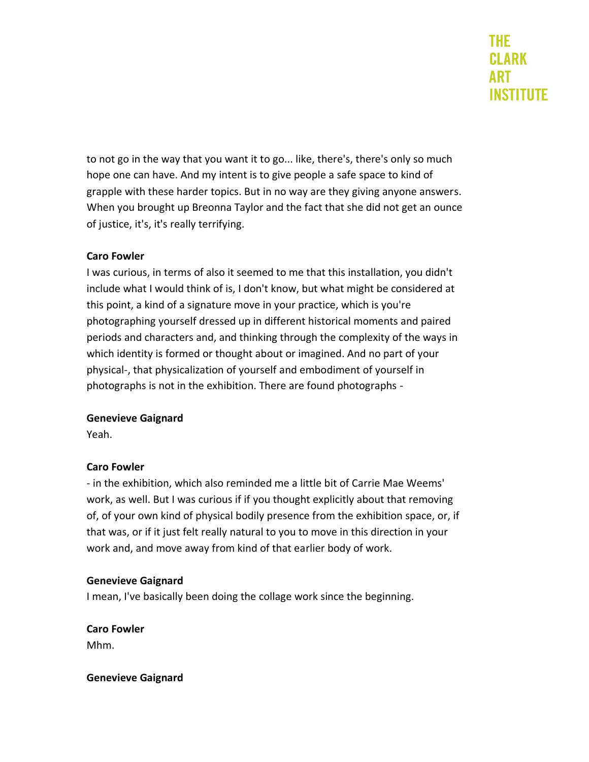to not go in the way that you want it to go... like, there's, there's only so much hope one can have. And my intent is to give people a safe space to kind of grapple with these harder topics. But in no way are they giving anyone answers. When you brought up Breonna Taylor and the fact that she did not get an ounce of justice, it's, it's really terrifying.

# **Caro Fowler**

I was curious, in terms of also it seemed to me that this installation, you didn't include what I would think of is, I don't know, but what might be considered at this point, a kind of a signature move in your practice, which is you're photographing yourself dressed up in different historical moments and paired periods and characters and, and thinking through the complexity of the ways in which identity is formed or thought about or imagined. And no part of your physical-, that physicalization of yourself and embodiment of yourself in photographs is not in the exhibition. There are found photographs -

# **Genevieve Gaignard**

Yeah.

# **Caro Fowler**

- in the exhibition, which also reminded me a little bit of Carrie Mae Weems' work, as well. But I was curious if if you thought explicitly about that removing of, of your own kind of physical bodily presence from the exhibition space, or, if that was, or if it just felt really natural to you to move in this direction in your work and, and move away from kind of that earlier body of work.

# **Genevieve Gaignard**

I mean, I've basically been doing the collage work since the beginning.

**Caro Fowler**  Mhm.

**Genevieve Gaignard**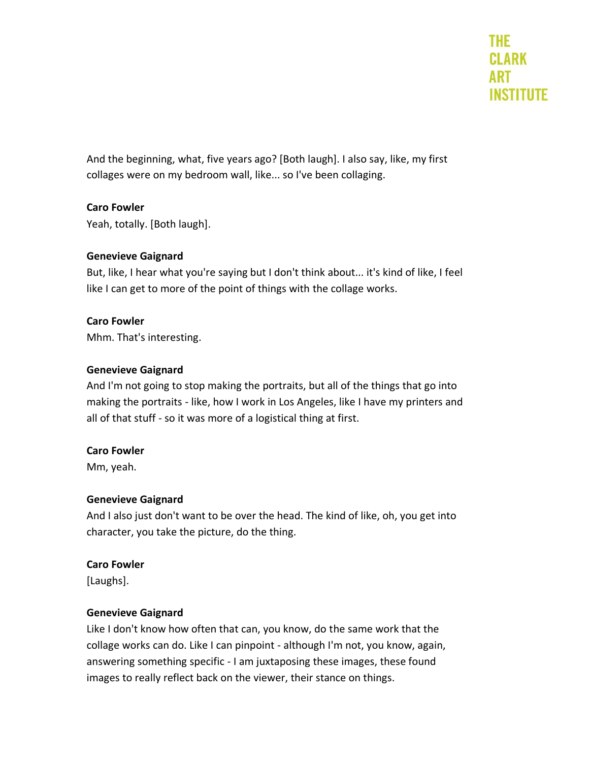And the beginning, what, five years ago? [Both laugh]. I also say, like, my first collages were on my bedroom wall, like... so I've been collaging.

# **Caro Fowler**

Yeah, totally. [Both laugh].

# **Genevieve Gaignard**

But, like, I hear what you're saying but I don't think about... it's kind of like, I feel like I can get to more of the point of things with the collage works.

# **Caro Fowler**

Mhm. That's interesting.

# **Genevieve Gaignard**

And I'm not going to stop making the portraits, but all of the things that go into making the portraits - like, how I work in Los Angeles, like I have my printers and all of that stuff - so it was more of a logistical thing at first.

# **Caro Fowler**

Mm, yeah.

# **Genevieve Gaignard**

And I also just don't want to be over the head. The kind of like, oh, you get into character, you take the picture, do the thing.

# **Caro Fowler**

[Laughs].

# **Genevieve Gaignard**

Like I don't know how often that can, you know, do the same work that the collage works can do. Like I can pinpoint - although I'm not, you know, again, answering something specific - I am juxtaposing these images, these found images to really reflect back on the viewer, their stance on things.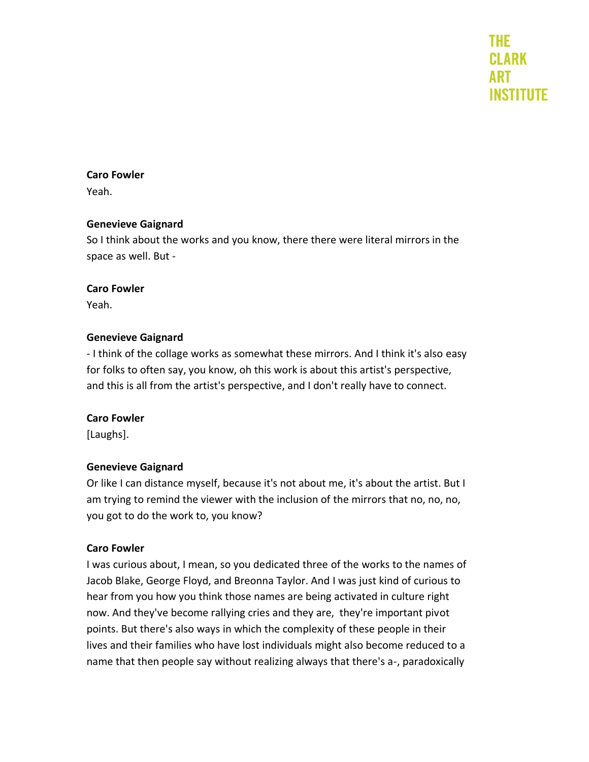#### **Caro Fowler**

Yeah.

#### **Genevieve Gaignard**

So I think about the works and you know, there there were literal mirrors in the space as well. But -

#### **Caro Fowler**

Yeah.

# **Genevieve Gaignard**

- I think of the collage works as somewhat these mirrors. And I think it's also easy for folks to often say, you know, oh this work is about this artist's perspective, and this is all from the artist's perspective, and I don't really have to connect.

# **Caro Fowler**

[Laughs].

# **Genevieve Gaignard**

Or like I can distance myself, because it's not about me, it's about the artist. But I am trying to remind the viewer with the inclusion of the mirrors that no, no, no, you got to do the work to, you know?

#### **Caro Fowler**

I was curious about, I mean, so you dedicated three of the works to the names of Jacob Blake, George Floyd, and Breonna Taylor. And I was just kind of curious to hear from you how you think those names are being activated in culture right now. And they've become rallying cries and they are, they're important pivot points. But there's also ways in which the complexity of these people in their lives and their families who have lost individuals might also become reduced to a name that then people say without realizing always that there's a-, paradoxically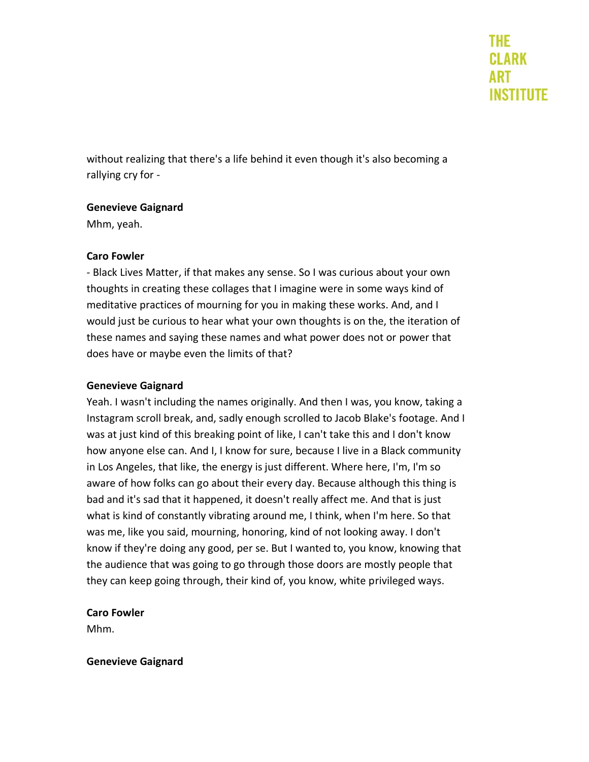without realizing that there's a life behind it even though it's also becoming a rallying cry for -

#### **Genevieve Gaignard**

Mhm, yeah.

#### **Caro Fowler**

- Black Lives Matter, if that makes any sense. So I was curious about your own thoughts in creating these collages that I imagine were in some ways kind of meditative practices of mourning for you in making these works. And, and I would just be curious to hear what your own thoughts is on the, the iteration of these names and saying these names and what power does not or power that does have or maybe even the limits of that?

#### **Genevieve Gaignard**

Yeah. I wasn't including the names originally. And then I was, you know, taking a Instagram scroll break, and, sadly enough scrolled to Jacob Blake's footage. And I was at just kind of this breaking point of like, I can't take this and I don't know how anyone else can. And I, I know for sure, because I live in a Black community in Los Angeles, that like, the energy is just different. Where here, I'm, I'm so aware of how folks can go about their every day. Because although this thing is bad and it's sad that it happened, it doesn't really affect me. And that is just what is kind of constantly vibrating around me, I think, when I'm here. So that was me, like you said, mourning, honoring, kind of not looking away. I don't know if they're doing any good, per se. But I wanted to, you know, knowing that the audience that was going to go through those doors are mostly people that they can keep going through, their kind of, you know, white privileged ways.

#### **Caro Fowler**

Mhm.

#### **Genevieve Gaignard**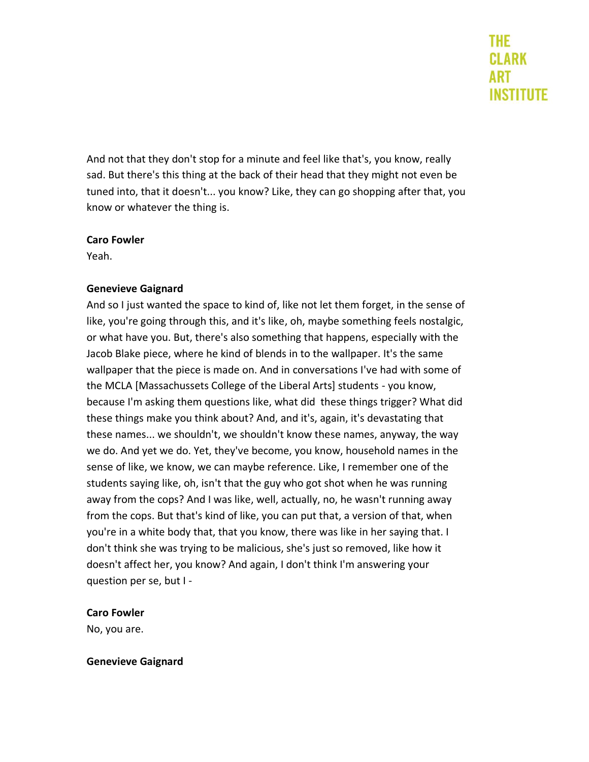And not that they don't stop for a minute and feel like that's, you know, really sad. But there's this thing at the back of their head that they might not even be tuned into, that it doesn't... you know? Like, they can go shopping after that, you know or whatever the thing is.

#### **Caro Fowler**

Yeah.

# **Genevieve Gaignard**

And so I just wanted the space to kind of, like not let them forget, in the sense of like, you're going through this, and it's like, oh, maybe something feels nostalgic, or what have you. But, there's also something that happens, especially with the Jacob Blake piece, where he kind of blends in to the wallpaper. It's the same wallpaper that the piece is made on. And in conversations I've had with some of the MCLA [Massachussets College of the Liberal Arts] students - you know, because I'm asking them questions like, what did these things trigger? What did these things make you think about? And, and it's, again, it's devastating that these names... we shouldn't, we shouldn't know these names, anyway, the way we do. And yet we do. Yet, they've become, you know, household names in the sense of like, we know, we can maybe reference. Like, I remember one of the students saying like, oh, isn't that the guy who got shot when he was running away from the cops? And I was like, well, actually, no, he wasn't running away from the cops. But that's kind of like, you can put that, a version of that, when you're in a white body that, that you know, there was like in her saying that. I don't think she was trying to be malicious, she's just so removed, like how it doesn't affect her, you know? And again, I don't think I'm answering your question per se, but I -

# **Caro Fowler**

No, you are.

# **Genevieve Gaignard**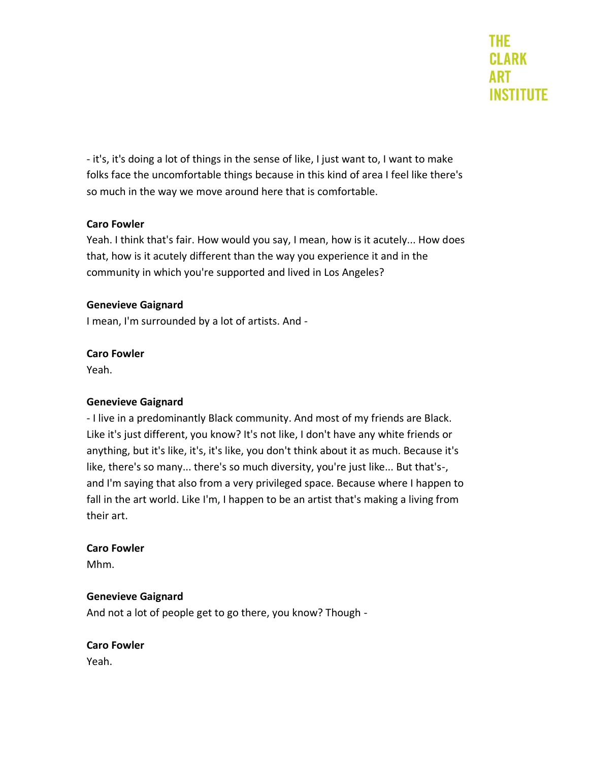- it's, it's doing a lot of things in the sense of like, I just want to, I want to make folks face the uncomfortable things because in this kind of area I feel like there's so much in the way we move around here that is comfortable.

# **Caro Fowler**

Yeah. I think that's fair. How would you say, I mean, how is it acutely... How does that, how is it acutely different than the way you experience it and in the community in which you're supported and lived in Los Angeles?

#### **Genevieve Gaignard**

I mean, I'm surrounded by a lot of artists. And -

#### **Caro Fowler**

Yeah.

# **Genevieve Gaignard**

- I live in a predominantly Black community. And most of my friends are Black. Like it's just different, you know? It's not like, I don't have any white friends or anything, but it's like, it's, it's like, you don't think about it as much. Because it's like, there's so many... there's so much diversity, you're just like... But that's-, and I'm saying that also from a very privileged space. Because where I happen to fall in the art world. Like I'm, I happen to be an artist that's making a living from their art.

#### **Caro Fowler**

Mhm.

#### **Genevieve Gaignard**

And not a lot of people get to go there, you know? Though -

# **Caro Fowler**

Yeah.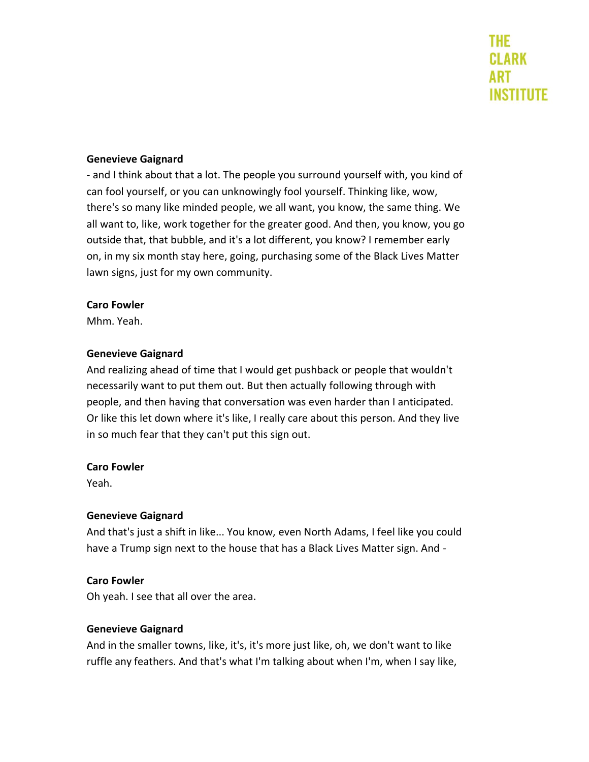#### **Genevieve Gaignard**

- and I think about that a lot. The people you surround yourself with, you kind of can fool yourself, or you can unknowingly fool yourself. Thinking like, wow, there's so many like minded people, we all want, you know, the same thing. We all want to, like, work together for the greater good. And then, you know, you go outside that, that bubble, and it's a lot different, you know? I remember early on, in my six month stay here, going, purchasing some of the Black Lives Matter lawn signs, just for my own community.

#### **Caro Fowler**

Mhm. Yeah.

#### **Genevieve Gaignard**

And realizing ahead of time that I would get pushback or people that wouldn't necessarily want to put them out. But then actually following through with people, and then having that conversation was even harder than I anticipated. Or like this let down where it's like, I really care about this person. And they live in so much fear that they can't put this sign out.

#### **Caro Fowler**

Yeah.

# **Genevieve Gaignard**

And that's just a shift in like... You know, even North Adams, I feel like you could have a Trump sign next to the house that has a Black Lives Matter sign. And -

# **Caro Fowler**

Oh yeah. I see that all over the area.

# **Genevieve Gaignard**

And in the smaller towns, like, it's, it's more just like, oh, we don't want to like ruffle any feathers. And that's what I'm talking about when I'm, when I say like,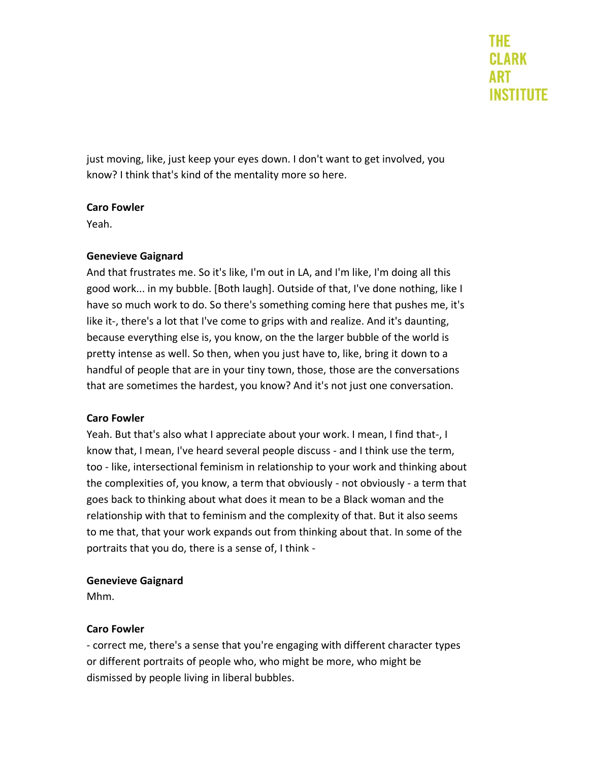just moving, like, just keep your eyes down. I don't want to get involved, you know? I think that's kind of the mentality more so here.

#### **Caro Fowler**

Yeah.

# **Genevieve Gaignard**

And that frustrates me. So it's like, I'm out in LA, and I'm like, I'm doing all this good work... in my bubble. [Both laugh]. Outside of that, I've done nothing, like I have so much work to do. So there's something coming here that pushes me, it's like it-, there's a lot that I've come to grips with and realize. And it's daunting, because everything else is, you know, on the the larger bubble of the world is pretty intense as well. So then, when you just have to, like, bring it down to a handful of people that are in your tiny town, those, those are the conversations that are sometimes the hardest, you know? And it's not just one conversation.

# **Caro Fowler**

Yeah. But that's also what I appreciate about your work. I mean, I find that-, I know that, I mean, I've heard several people discuss - and I think use the term, too - like, intersectional feminism in relationship to your work and thinking about the complexities of, you know, a term that obviously - not obviously - a term that goes back to thinking about what does it mean to be a Black woman and the relationship with that to feminism and the complexity of that. But it also seems to me that, that your work expands out from thinking about that. In some of the portraits that you do, there is a sense of, I think -

# **Genevieve Gaignard**

Mhm.

# **Caro Fowler**

- correct me, there's a sense that you're engaging with different character types or different portraits of people who, who might be more, who might be dismissed by people living in liberal bubbles.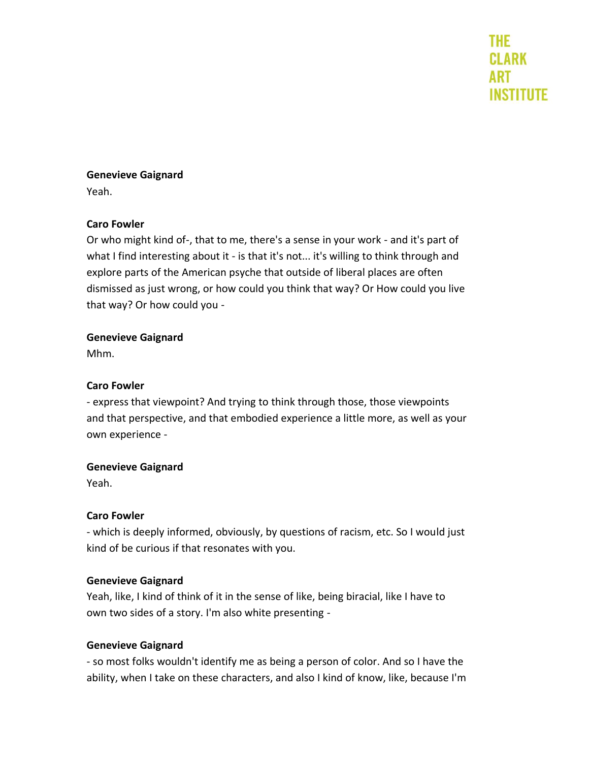# **Genevieve Gaignard**

Yeah.

# **Caro Fowler**

Or who might kind of-, that to me, there's a sense in your work - and it's part of what I find interesting about it - is that it's not... it's willing to think through and explore parts of the American psyche that outside of liberal places are often dismissed as just wrong, or how could you think that way? Or How could you live that way? Or how could you -

# **Genevieve Gaignard**

Mhm.

# **Caro Fowler**

- express that viewpoint? And trying to think through those, those viewpoints and that perspective, and that embodied experience a little more, as well as your own experience -

# **Genevieve Gaignard**

Yeah.

# **Caro Fowler**

- which is deeply informed, obviously, by questions of racism, etc. So I would just kind of be curious if that resonates with you.

#### **Genevieve Gaignard**

Yeah, like, I kind of think of it in the sense of like, being biracial, like I have to own two sides of a story. I'm also white presenting -

# **Genevieve Gaignard**

- so most folks wouldn't identify me as being a person of color. And so I have the ability, when I take on these characters, and also I kind of know, like, because I'm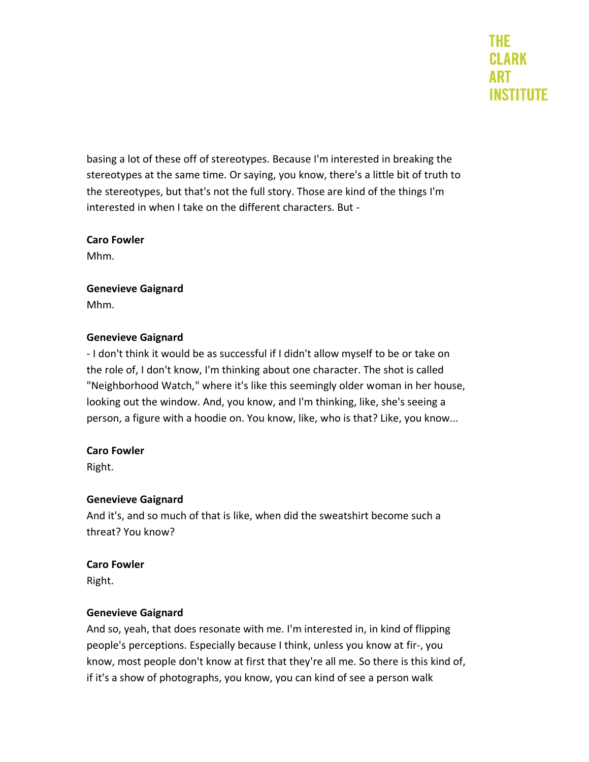basing a lot of these off of stereotypes. Because I'm interested in breaking the stereotypes at the same time. Or saying, you know, there's a little bit of truth to the stereotypes, but that's not the full story. Those are kind of the things I'm interested in when I take on the different characters. But -

# **Caro Fowler**

Mhm.

# **Genevieve Gaignard**

Mhm.

# **Genevieve Gaignard**

- I don't think it would be as successful if I didn't allow myself to be or take on the role of, I don't know, I'm thinking about one character. The shot is called "Neighborhood Watch," where it's like this seemingly older woman in her house, looking out the window. And, you know, and I'm thinking, like, she's seeing a person, a figure with a hoodie on. You know, like, who is that? Like, you know...

# **Caro Fowler**

Right.

# **Genevieve Gaignard**

And it's, and so much of that is like, when did the sweatshirt become such a threat? You know?

# **Caro Fowler**

Right.

# **Genevieve Gaignard**

And so, yeah, that does resonate with me. I'm interested in, in kind of flipping people's perceptions. Especially because I think, unless you know at fir-, you know, most people don't know at first that they're all me. So there is this kind of, if it's a show of photographs, you know, you can kind of see a person walk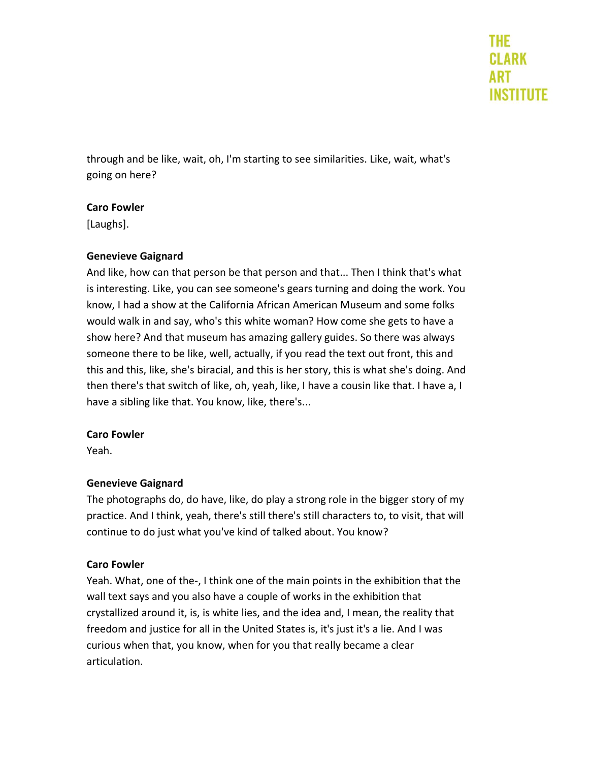through and be like, wait, oh, I'm starting to see similarities. Like, wait, what's going on here?

# **Caro Fowler**

[Laughs].

#### **Genevieve Gaignard**

And like, how can that person be that person and that... Then I think that's what is interesting. Like, you can see someone's gears turning and doing the work. You know, I had a show at the California African American Museum and some folks would walk in and say, who's this white woman? How come she gets to have a show here? And that museum has amazing gallery guides. So there was always someone there to be like, well, actually, if you read the text out front, this and this and this, like, she's biracial, and this is her story, this is what she's doing. And then there's that switch of like, oh, yeah, like, I have a cousin like that. I have a, I have a sibling like that. You know, like, there's...

#### **Caro Fowler**

Yeah.

# **Genevieve Gaignard**

The photographs do, do have, like, do play a strong role in the bigger story of my practice. And I think, yeah, there's still there's still characters to, to visit, that will continue to do just what you've kind of talked about. You know?

# **Caro Fowler**

Yeah. What, one of the-, I think one of the main points in the exhibition that the wall text says and you also have a couple of works in the exhibition that crystallized around it, is, is white lies, and the idea and, I mean, the reality that freedom and justice for all in the United States is, it's just it's a lie. And I was curious when that, you know, when for you that really became a clear articulation.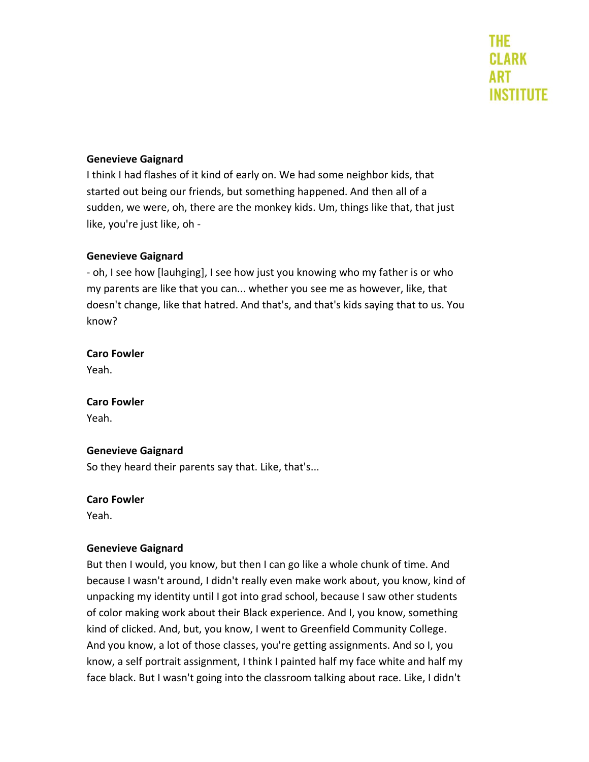# **Genevieve Gaignard**

I think I had flashes of it kind of early on. We had some neighbor kids, that started out being our friends, but something happened. And then all of a sudden, we were, oh, there are the monkey kids. Um, things like that, that just like, you're just like, oh -

#### **Genevieve Gaignard**

- oh, I see how [lauhging], I see how just you knowing who my father is or who my parents are like that you can... whether you see me as however, like, that doesn't change, like that hatred. And that's, and that's kids saying that to us. You know?

#### **Caro Fowler**

Yeah.

# **Caro Fowler**

Yeah.

# **Genevieve Gaignard**

So they heard their parents say that. Like, that's...

#### **Caro Fowler**

Yeah.

# **Genevieve Gaignard**

But then I would, you know, but then I can go like a whole chunk of time. And because I wasn't around, I didn't really even make work about, you know, kind of unpacking my identity until I got into grad school, because I saw other students of color making work about their Black experience. And I, you know, something kind of clicked. And, but, you know, I went to Greenfield Community College. And you know, a lot of those classes, you're getting assignments. And so I, you know, a self portrait assignment, I think I painted half my face white and half my face black. But I wasn't going into the classroom talking about race. Like, I didn't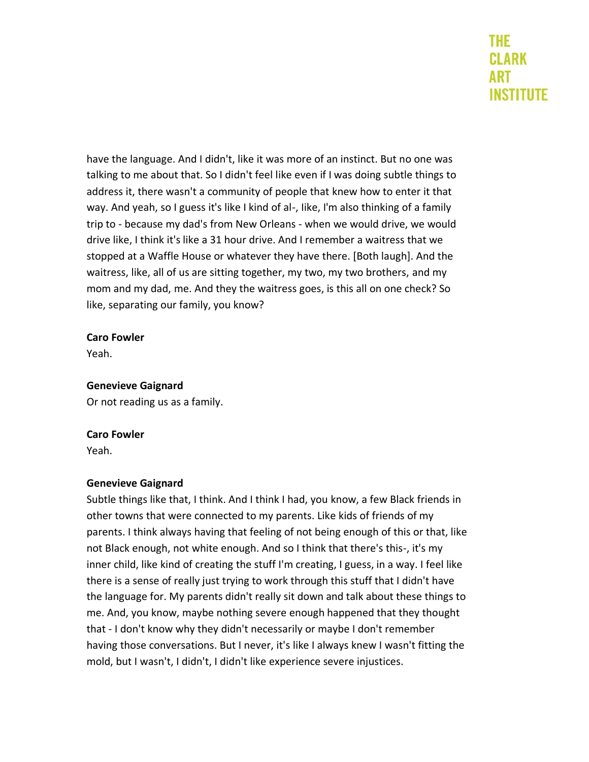have the language. And I didn't, like it was more of an instinct. But no one was talking to me about that. So I didn't feel like even if I was doing subtle things to address it, there wasn't a community of people that knew how to enter it that way. And yeah, so I guess it's like I kind of al-, Iike, I'm also thinking of a family trip to - because my dad's from New Orleans - when we would drive, we would drive like, I think it's like a 31 hour drive. And I remember a waitress that we stopped at a Waffle House or whatever they have there. [Both laugh]. And the waitress, like, all of us are sitting together, my two, my two brothers, and my mom and my dad, me. And they the waitress goes, is this all on one check? So like, separating our family, you know?

#### **Caro Fowler**

Yeah.

#### **Genevieve Gaignard**

Or not reading us as a family.

# **Caro Fowler**

Yeah.

# **Genevieve Gaignard**

Subtle things like that, I think. And I think I had, you know, a few Black friends in other towns that were connected to my parents. Like kids of friends of my parents. I think always having that feeling of not being enough of this or that, like not Black enough, not white enough. And so I think that there's this-, it's my inner child, like kind of creating the stuff I'm creating, I guess, in a way. I feel like there is a sense of really just trying to work through this stuff that I didn't have the language for. My parents didn't really sit down and talk about these things to me. And, you know, maybe nothing severe enough happened that they thought that - I don't know why they didn't necessarily or maybe I don't remember having those conversations. But I never, it's like I always knew I wasn't fitting the mold, but I wasn't, I didn't, I didn't like experience severe injustices.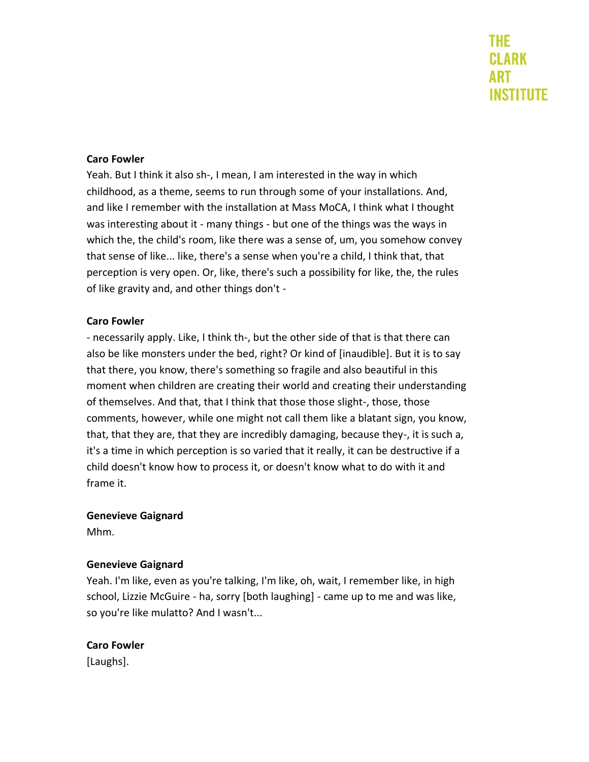#### **Caro Fowler**

Yeah. But I think it also sh-, I mean, I am interested in the way in which childhood, as a theme, seems to run through some of your installations. And, and like I remember with the installation at Mass MoCA, I think what I thought was interesting about it - many things - but one of the things was the ways in which the, the child's room, like there was a sense of, um, you somehow convey that sense of like... like, there's a sense when you're a child, I think that, that perception is very open. Or, like, there's such a possibility for like, the, the rules of like gravity and, and other things don't -

#### **Caro Fowler**

- necessarily apply. Like, I think th-, but the other side of that is that there can also be like monsters under the bed, right? Or kind of [inaudible]. But it is to say that there, you know, there's something so fragile and also beautiful in this moment when children are creating their world and creating their understanding of themselves. And that, that I think that those those slight-, those, those comments, however, while one might not call them like a blatant sign, you know, that, that they are, that they are incredibly damaging, because they-, it is such a, it's a time in which perception is so varied that it really, it can be destructive if a child doesn't know how to process it, or doesn't know what to do with it and frame it.

#### **Genevieve Gaignard**

Mhm.

#### **Genevieve Gaignard**

Yeah. I'm like, even as you're talking, I'm like, oh, wait, I remember like, in high school, Lizzie McGuire - ha, sorry [both laughing] - came up to me and was like, so you're like mulatto? And I wasn't...

#### **Caro Fowler**

[Laughs].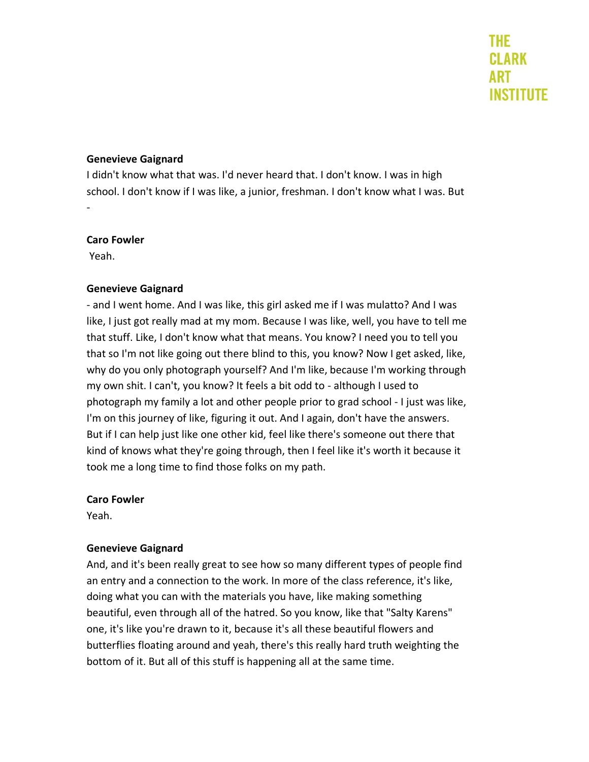#### **Genevieve Gaignard**

I didn't know what that was. I'd never heard that. I don't know. I was in high school. I don't know if I was like, a junior, freshman. I don't know what I was. But -

#### **Caro Fowler**

Yeah.

#### **Genevieve Gaignard**

- and I went home. And I was like, this girl asked me if I was mulatto? And I was like, I just got really mad at my mom. Because I was like, well, you have to tell me that stuff. Like, I don't know what that means. You know? I need you to tell you that so I'm not like going out there blind to this, you know? Now I get asked, like, why do you only photograph yourself? And I'm like, because I'm working through my own shit. I can't, you know? It feels a bit odd to - although I used to photograph my family a lot and other people prior to grad school - I just was like, I'm on this journey of like, figuring it out. And I again, don't have the answers. But if I can help just like one other kid, feel like there's someone out there that kind of knows what they're going through, then I feel like it's worth it because it took me a long time to find those folks on my path.

#### **Caro Fowler**

Yeah.

# **Genevieve Gaignard**

And, and it's been really great to see how so many different types of people find an entry and a connection to the work. In more of the class reference, it's like, doing what you can with the materials you have, like making something beautiful, even through all of the hatred. So you know, like that "Salty Karens" one, it's like you're drawn to it, because it's all these beautiful flowers and butterflies floating around and yeah, there's this really hard truth weighting the bottom of it. But all of this stuff is happening all at the same time.